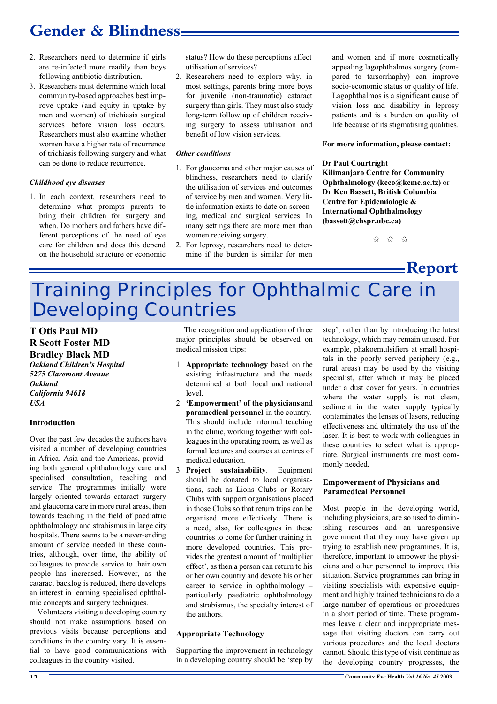## **Gender & Blindness**

- 2. Researchers need to determine if girls are re-infected more readily than boys following antibiotic distribution.
- 3. Researchers must determine which local community-based approaches best improve uptake (and equity in uptake by men and women) of trichiasis surgical services before vision loss occurs. Researchers must also examine whether women have a higher rate of recurrence of trichiasis following surgery and what can be done to reduce recurrence.

#### *Childhood eye diseases*

1. In each context, researchers need to determine what prompts parents to bring their children for surgery and when. Do mothers and fathers have different perceptions of the need of eye care for children and does this depend on the household structure or economic

status? How do these perceptions affect utilisation of services?

2. Researchers need to explore why, in most settings, parents bring more boys for juvenile (non-traumatic) cataract surgery than girls. They must also study long-term follow up of children receiving surgery to assess utilisation and benefit of low vision services.

#### *Other conditions*

- 1. For glaucoma and other major causes of blindness, researchers need to clarify the utilisation of services and outcomes of service by men and women. Very little information exists to date on screening, medical and surgical services. In many settings there are more men than women receiving surgery.
- 2. For leprosy, researchers need to determine if the burden is similar for men

and women and if more cosmetically appealing lagophthalmos surgery (compared to tarsorrhaphy) can improve socio-economic status or quality of life. Lagophthalmos is a significant cause of vision loss and disability in leprosy patients and is a burden on quality of life because of its stigmatising qualities.

#### **For more information, please contact:**

#### **Dr Paul Courtright**

**Kilimanjaro Centre for Community Ophthalmology (kcco@kcmc.ac.tz)** or **Dr Ken Bassett, British Columbia Centre for Epidemiologic & International Ophthalmology (bassett@chspr.ubc.ca)**

 $\frac{1}{2}$   $\frac{1}{2}$   $\frac{1}{2}$   $\frac{1}{2}$   $\frac{1}{2}$   $\frac{1}{2}$   $\frac{1}{2}$   $\frac{1}{2}$   $\frac{1}{2}$   $\frac{1}{2}$   $\frac{1}{2}$   $\frac{1}{2}$   $\frac{1}{2}$   $\frac{1}{2}$   $\frac{1}{2}$   $\frac{1}{2}$   $\frac{1}{2}$   $\frac{1}{2}$   $\frac{1}{2}$   $\frac{1}{2}$   $\frac{1}{2}$   $\frac{1}{2}$ 

<u>——</u>Report

# Training Principles for Ophthalmic Care in Developing Countries

### **T Otis Paul MD R Scott Foster MD Bradley Black MD**

*Oakland Children's Hospital 5275 Claremont Avenue Oakland California 94618 USA*

#### **Introduction**

Over the past few decades the authors have visited a number of developing countries in Africa, Asia and the Americas, providing both general ophthalmology care and specialised consultation, teaching and service. The programmes initially were largely oriented towards cataract surgery and glaucoma care in more rural areas, then towards teaching in the field of paediatric ophthalmology and strabismus in large city hospitals. There seems to be a never-ending amount of service needed in these countries, although, over time, the ability of colleagues to provide service to their own people has increased. However, as the cataract backlog is reduced, there develops an interest in learning specialised ophthalmic concepts and surgery techniques.

Volunteers visiting a developing country should not make assumptions based on previous visits because perceptions and conditions in the country vary. It is essential to have good communications with colleagues in the country visited.

The recognition and application of three major principles should be observed on medical mission trips:

- 1. **Appropriate technology** based on the existing infrastructure and the needs determined at both local and national level.
- 2. **'Empowerment' of the physicians** and **paramedical personnel** in the country. This should include informal teaching in the clinic, working together with colleagues in the operating room, as well as formal lectures and courses at centres of medical education.
- 3. **Project sustainability**. Equipment should be donated to local organisations, such as Lions Clubs or Rotary Clubs with support organisations placed in those Clubs so that return trips can be organised more effectively. There is a need, also, for colleagues in these countries to come for further training in more developed countries. This provides the greatest amount of 'multiplier effect', as then a person can return to his or her own country and devote his or her career to service in ophthalmology – particularly paediatric ophthalmology and strabismus, the specialty interest of the authors.

#### **Appropriate Technology**

Supporting the improvement in technology in a developing country should be 'step by step', rather than by introducing the latest technology, which may remain unused. For example, phakoemulsifiers at small hospitals in the poorly served periphery (e.g., rural areas) may be used by the visiting specialist, after which it may be placed under a dust cover for years. In countries where the water supply is not clean, sediment in the water supply typically contaminates the lenses of lasers, reducing effectiveness and ultimately the use of the laser. It is best to work with colleagues in these countries to select what is appropriate. Surgical instruments are most commonly needed.

#### **Empowerment of Physicians and Paramedical Personnel**

Most people in the developing world, including physicians, are so used to diminishing resources and an unresponsive government that they may have given up trying to establish new programmes. It is, therefore, important to empower the physicians and other personnel to improve this situation. Service programmes can bring in visiting specialists with expensive equipment and highly trained technicians to do a large number of operations or procedures in a short period of time. These programmes leave a clear and inappropriate message that visiting doctors can carry out various procedures and the local doctors cannot. Should this type of visit continue as the developing country progresses, the